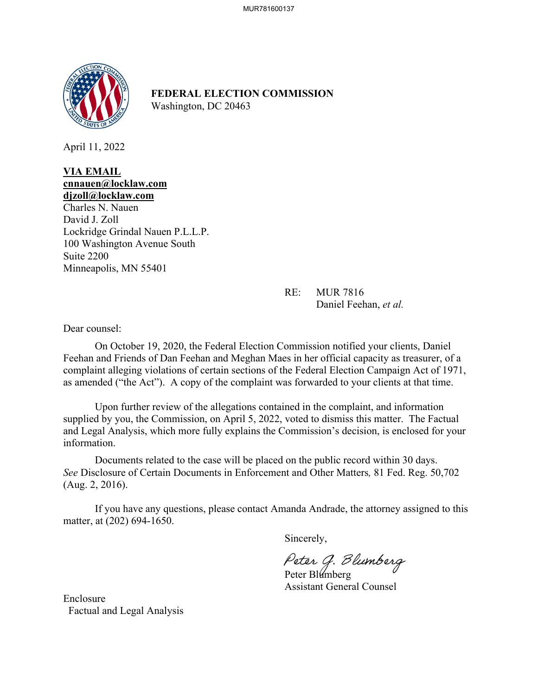

**FEDERAL ELECTION COMMISSION** Washington, DC 20463

April 11, 2022

## **VIA EMAIL cnnauen@locklaw.com djzoll@locklaw.com**

Charles N. Nauen David J. Zoll Lockridge Grindal Nauen P.L.L.P. 100 Washington Avenue South Suite 2200 Minneapolis, MN 55401

> RE: MUR 7816 Daniel Feehan, *et al.*

Dear counsel:

On October 19, 2020, the Federal Election Commission notified your clients, Daniel Feehan and Friends of Dan Feehan and Meghan Maes in her official capacity as treasurer, of a complaint alleging violations of certain sections of the Federal Election Campaign Act of 1971, as amended ("the Act"). A copy of the complaint was forwarded to your clients at that time.

 Upon further review of the allegations contained in the complaint, and information supplied by you, the Commission, on April 5, 2022, voted to dismiss this matter. The Factual and Legal Analysis, which more fully explains the Commission's decision, is enclosed for your information.

 Documents related to the case will be placed on the public record within 30 days. *See* Disclosure of Certain Documents in Enforcement and Other Matters*,* 81 Fed. Reg. 50,702 (Aug. 2, 2016).

If you have any questions, please contact Amanda Andrade, the attorney assigned to this matter, at (202) 694-1650.

Sincerely,

Peter G. Blumberg<br>Peter Blumberg

Assistant General Counsel

Enclosure Factual and Legal Analysis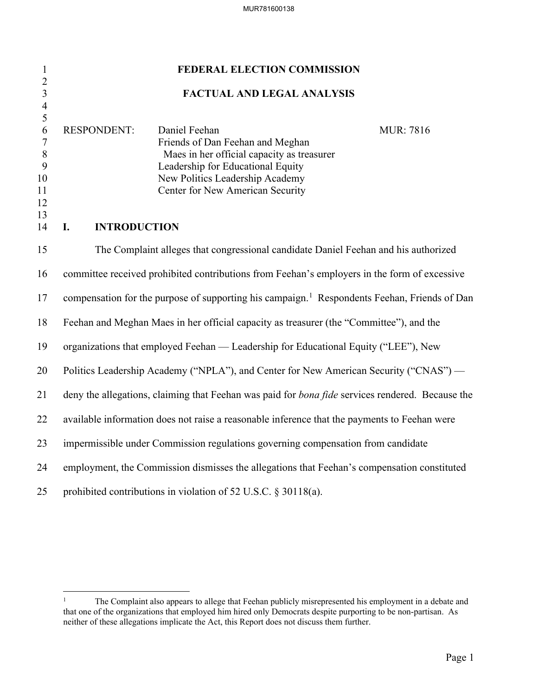| $\mathbf{1}$                              | FEDERAL ELECTION COMMISSION                                                                              |                                                                                             |                   |  |  |  |
|-------------------------------------------|----------------------------------------------------------------------------------------------------------|---------------------------------------------------------------------------------------------|-------------------|--|--|--|
| $\overline{2}$<br>$\overline{\mathbf{3}}$ | <b>FACTUAL AND LEGAL ANALYSIS</b>                                                                        |                                                                                             |                   |  |  |  |
| $\overline{\mathcal{A}}$<br>5             |                                                                                                          |                                                                                             |                   |  |  |  |
| 6<br>$\boldsymbol{7}$                     | <b>RESPONDENT:</b>                                                                                       | Daniel Feehan<br>Friends of Dan Feehan and Meghan                                           | <b>MUR</b> : 7816 |  |  |  |
| $\, 8$                                    |                                                                                                          | Maes in her official capacity as treasurer                                                  |                   |  |  |  |
| 9                                         |                                                                                                          | Leadership for Educational Equity                                                           |                   |  |  |  |
| 10<br>11                                  |                                                                                                          | New Politics Leadership Academy<br>Center for New American Security                         |                   |  |  |  |
| 12                                        |                                                                                                          |                                                                                             |                   |  |  |  |
| 13<br>14                                  | I.<br><b>INTRODUCTION</b>                                                                                |                                                                                             |                   |  |  |  |
| 15                                        |                                                                                                          | The Complaint alleges that congressional candidate Daniel Feehan and his authorized         |                   |  |  |  |
| 16                                        | committee received prohibited contributions from Feehan's employers in the form of excessive             |                                                                                             |                   |  |  |  |
| 17                                        | compensation for the purpose of supporting his campaign. <sup>1</sup> Respondents Feehan, Friends of Dan |                                                                                             |                   |  |  |  |
| 18                                        | Feehan and Meghan Maes in her official capacity as treasurer (the "Committee"), and the                  |                                                                                             |                   |  |  |  |
| 19                                        | organizations that employed Feehan — Leadership for Educational Equity ("LEE"), New                      |                                                                                             |                   |  |  |  |
| 20                                        | Politics Leadership Academy ("NPLA"), and Center for New American Security ("CNAS") —                    |                                                                                             |                   |  |  |  |
| 21                                        | deny the allegations, claiming that Feehan was paid for bona fide services rendered. Because the         |                                                                                             |                   |  |  |  |
| 22                                        | available information does not raise a reasonable inference that the payments to Feehan were             |                                                                                             |                   |  |  |  |
| 23                                        | impermissible under Commission regulations governing compensation from candidate                         |                                                                                             |                   |  |  |  |
| 24                                        |                                                                                                          | employment, the Commission dismisses the allegations that Feehan's compensation constituted |                   |  |  |  |
| 25                                        | prohibited contributions in violation of 52 U.S.C. § 30118(a).                                           |                                                                                             |                   |  |  |  |

<span id="page-1-0"></span><sup>&</sup>lt;sup>1</sup> The Complaint also appears to allege that Feehan publicly misrepresented his employment in a debate and that one of the organizations that employed him hired only Democrats despite purporting to be non-partisan. As neither of these allegations implicate the Act, this Report does not discuss them further.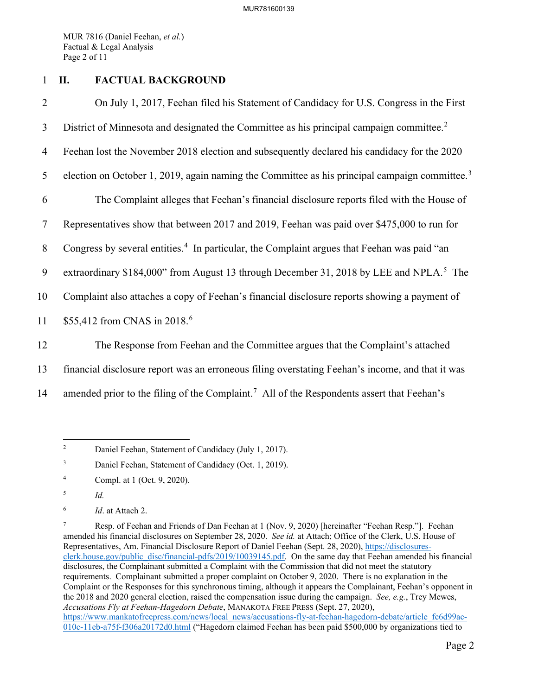MUR 7816 (Daniel Feehan, *et al.*) Factual & Legal Analysis Page 2 of 11

## 1 **II. FACTUAL BACKGROUND**

2 On July 1, 2017, Feehan filed his Statement of Candidacy for U.S. Congress in the First 3 District of Minnesota and designated the Committee as his principal campaign committee.<sup>[2](#page-2-0)</sup> 4 Feehan lost the November 2018 election and subsequently declared his candidacy for the 2020 5 election on October 1, 2019, again naming the Committee as his principal campaign committee.<sup>[3](#page-2-1)</sup> 6 The Complaint alleges that Feehan's financial disclosure reports filed with the House of 7 Representatives show that between 2017 and 2019, Feehan was paid over \$475,000 to run for 8 Congress by several entities.<sup>[4](#page-2-2)</sup> In particular, the Complaint argues that Feehan was paid "an 9 extraordinary \$184,000" from August 13 through December 31, 2018 by LEE and NPLA.<sup>[5](#page-2-3)</sup> The 10 Complaint also attaches a copy of Feehan's financial disclosure reports showing a payment of 11 \$55,412 from CNAS in 2018.<sup>[6](#page-2-4)</sup> 12 The Response from Feehan and the Committee argues that the Complaint's attached 13 financial disclosure report was an erroneous filing overstating Feehan's income, and that it was

14 amended prior to the filing of the Complaint.<sup>[7](#page-2-5)</sup> All of the Respondents assert that Feehan's

<span id="page-2-0"></span><sup>2</sup> Daniel Feehan, Statement of Candidacy (July 1, 2017).

<span id="page-2-1"></span><sup>3</sup> Daniel Feehan, Statement of Candidacy (Oct. 1, 2019).

<span id="page-2-2"></span><sup>4</sup> Compl. at 1 (Oct. 9, 2020).

<span id="page-2-3"></span><sup>5</sup> *Id.*

<span id="page-2-4"></span><sup>6</sup> *Id*. at Attach 2.

<span id="page-2-5"></span><sup>7</sup> Resp. of Feehan and Friends of Dan Feehan at 1 (Nov. 9, 2020) [hereinafter "Feehan Resp."]. Feehan amended his financial disclosures on September 28, 2020. *See id.* at Attach; Office of the Clerk, U.S. House of Representatives, Am. Financial Disclosure Report of Daniel Feehan (Sept. 28, 2020), [https://disclosures](https://disclosures-clerk.house.gov/public_disc/financial-pdfs/2019/10039145.pdf)[clerk.house.gov/public\\_disc/financial-pdfs/2019/10039145.pdf.](https://disclosures-clerk.house.gov/public_disc/financial-pdfs/2019/10039145.pdf) On the same day that Feehan amended his financial disclosures, the Complainant submitted a Complaint with the Commission that did not meet the statutory requirements. Complainant submitted a proper complaint on October 9, 2020. There is no explanation in the Complaint or the Responses for this synchronous timing, although it appears the Complainant, Feehan's opponent in the 2018 and 2020 general election, raised the compensation issue during the campaign. *See, e.g.*, Trey Mewes, *Accusations Fly at Feehan-Hagedorn Debate*, MANAKOTA FREE PRESS (Sept. 27, 2020), [https://www.mankatofreepress.com/news/local\\_news/accusations-fly-at-feehan-hagedorn-debate/article\\_fc6d99ac-](https://www.mankatofreepress.com/news/local_news/accusations-fly-at-feehan-hagedorn-debate/article_fc6d99ac-010c-11eb-a75f-f306a20172d0.html)[010c-11eb-a75f-f306a20172d0.html](https://www.mankatofreepress.com/news/local_news/accusations-fly-at-feehan-hagedorn-debate/article_fc6d99ac-010c-11eb-a75f-f306a20172d0.html) ("Hagedorn claimed Feehan has been paid \$500,000 by organizations tied to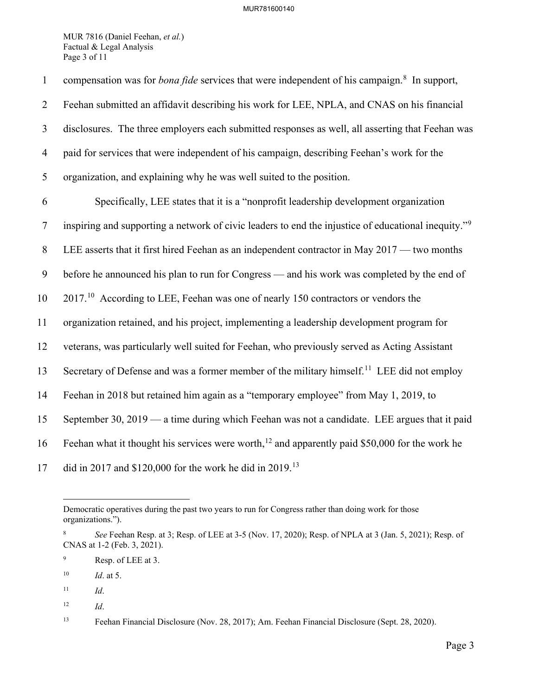MUR 7816 (Daniel Feehan, *et al.*) Factual & Legal Analysis Page 3 of 11

1 compensation was for *bona fide* services that were independent of his campaign.<sup>[8](#page-3-0)</sup> In support, 2 Feehan submitted an affidavit describing his work for LEE, NPLA, and CNAS on his financial 3 disclosures. The three employers each submitted responses as well, all asserting that Feehan was 4 paid for services that were independent of his campaign, describing Feehan's work for the 5 organization, and explaining why he was well suited to the position. 6 Specifically, LEE states that it is a "nonprofit leadership development organization inspiring and supporting a network of civic leaders to end the injustice of educational inequity."[9](#page-3-1) 7 8 LEE asserts that it first hired Feehan as an independent contractor in May 2017 — two months 9 before he announced his plan to run for Congress — and his work was completed by the end of 10 2017<sup>10</sup> According to LEE, Feehan was one of nearly 150 contractors or vendors the 11 organization retained, and his project, implementing a leadership development program for 12 veterans, was particularly well suited for Feehan, who previously served as Acting Assistant 13 Secretary of Defense and was a former member of the military himself.<sup>[11](#page-3-3)</sup> LEE did not employ 14 Feehan in 2018 but retained him again as a "temporary employee" from May 1, 2019, to 15 September 30, 2019 — a time during which Feehan was not a candidate. LEE argues that it paid 16 Feehan what it thought his services were worth,<sup>[12](#page-3-4)</sup> and apparently paid \$50,000 for the work he 17 did in 2017 and \$120,000 for the work he did in 2019.<sup>[13](#page-3-5)</sup>

Democratic operatives during the past two years to run for Congress rather than doing work for those organizations.").

<span id="page-3-0"></span><sup>8</sup> *See* Feehan Resp. at 3; Resp. of LEE at 3-5 (Nov. 17, 2020); Resp. of NPLA at 3 (Jan. 5, 2021); Resp. of CNAS at 1-2 (Feb. 3, 2021).

<span id="page-3-1"></span><sup>9</sup> Resp. of LEE at 3.

<span id="page-3-2"></span><sup>10</sup> *Id*. at 5.

<span id="page-3-3"></span> $11$  *Id.* 

<span id="page-3-4"></span> $12$  *Id.* 

<span id="page-3-5"></span><sup>13</sup> Feehan Financial Disclosure (Nov. 28, 2017); Am. Feehan Financial Disclosure (Sept. 28, 2020).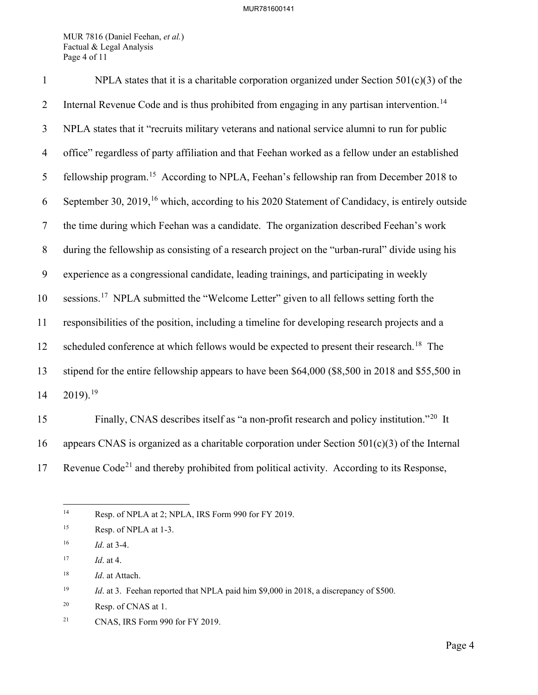MUR 7816 (Daniel Feehan, *et al.*) Factual & Legal Analysis Page 4 of 11

| $\mathbf{1}$   | NPLA states that it is a charitable corporation organized under Section $501(c)(3)$ of the                 |
|----------------|------------------------------------------------------------------------------------------------------------|
| $\overline{2}$ | Internal Revenue Code and is thus prohibited from engaging in any partisan intervention. <sup>14</sup>     |
| $\mathfrak{Z}$ | NPLA states that it "recruits military veterans and national service alumni to run for public              |
| $\overline{4}$ | office" regardless of party affiliation and that Feehan worked as a fellow under an established            |
| 5              | fellowship program. <sup>15</sup> According to NPLA, Feehan's fellowship ran from December 2018 to         |
| 6              | September 30, 2019, <sup>16</sup> which, according to his 2020 Statement of Candidacy, is entirely outside |
| $\tau$         | the time during which Feehan was a candidate. The organization described Feehan's work                     |
| $8\,$          | during the fellowship as consisting of a research project on the "urban-rural" divide using his            |
| 9              | experience as a congressional candidate, leading trainings, and participating in weekly                    |
| 10             | sessions. <sup>17</sup> NPLA submitted the "Welcome Letter" given to all fellows setting forth the         |
| 11             | responsibilities of the position, including a timeline for developing research projects and a              |
| 12             | scheduled conference at which fellows would be expected to present their research. <sup>18</sup> The       |
| 13             | stipend for the entire fellowship appears to have been \$64,000 (\$8,500 in 2018 and \$55,500 in           |
| 14             | $2019$ . <sup>19</sup>                                                                                     |
| 15             | Finally, CNAS describes itself as "a non-profit research and policy institution." <sup>20</sup> It         |

16 appears CNAS is organized as a charitable corporation under Section  $501(c)(3)$  of the Internal 17 Revenue Code<sup>[21](#page-4-7)</sup> and thereby prohibited from political activity. According to its Response,

<span id="page-4-0"></span><sup>&</sup>lt;sup>14</sup> Resp. of NPLA at 2; NPLA, IRS Form 990 for FY 2019.

<span id="page-4-1"></span><sup>&</sup>lt;sup>15</sup> Resp. of NPLA at 1-3.

<span id="page-4-2"></span><sup>16</sup> *Id*. at 3-4.

<span id="page-4-3"></span><sup>17</sup> *Id*. at 4.

<span id="page-4-4"></span><sup>18</sup> *Id*. at Attach.

<span id="page-4-5"></span><sup>&</sup>lt;sup>19</sup> *Id.* at 3. Feehan reported that NPLA paid him \$9,000 in 2018, a discrepancy of \$500.

<span id="page-4-6"></span><sup>20</sup> Resp. of CNAS at 1.

<span id="page-4-7"></span><sup>21</sup> CNAS, IRS Form 990 for FY 2019.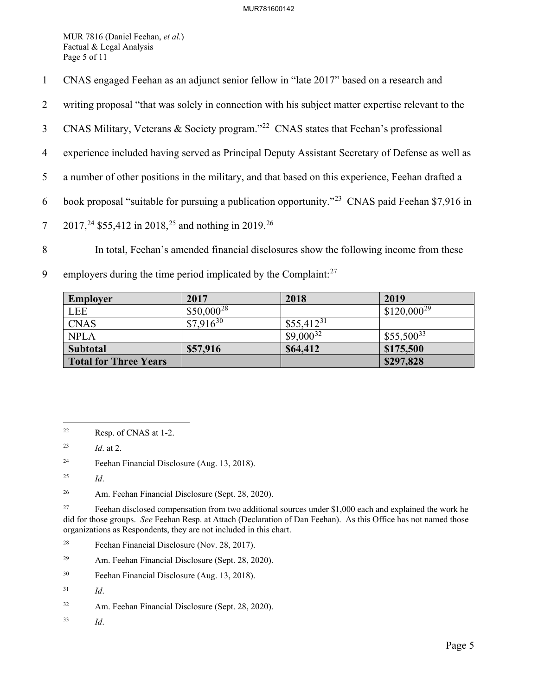MUR 7816 (Daniel Feehan, *et al.*) Factual & Legal Analysis Page 5 of 11

- 1 CNAS engaged Feehan as an adjunct senior fellow in "late 2017" based on a research and
- 2 writing proposal "that was solely in connection with his subject matter expertise relevant to the
- 3 CNAS Military, Veterans & Society program."<sup>[22](#page-5-0)</sup> CNAS states that Feehan's professional
- 4 experience included having served as Principal Deputy Assistant Secretary of Defense as well as
- 5 a number of other positions in the military, and that based on this experience, Feehan drafted a
- 6 book proposal "suitable for pursuing a publication opportunity."<sup>[23](#page-5-1)</sup> CNAS paid Feehan \$7,916 in
- 7 2017,<sup>24</sup> \$55,412 in 2018,<sup>[25](#page-5-3)</sup> and nothing in 2019.<sup>[26](#page-5-4)</sup>
- 8 In total, Feehan's amended financial disclosures show the following income from these
- 9 employers during the time period implicated by the Complaint: $27$

| <b>Employer</b>              | 2017            | 2018           | 2019            |
|------------------------------|-----------------|----------------|-----------------|
| <b>LEE</b>                   | $$50,000^{28}$$ |                | $$120,000^{29}$ |
| <b>CNAS</b>                  | $$7,916^{30}$   | $$55,412^{31}$ |                 |
| <b>NPLA</b>                  |                 | $$9,000^{32}$  | $$55,500^{33}$  |
| Subtotal                     | \$57,916        | \$64,412       | \$175,500       |
| <b>Total for Three Years</b> |                 |                | \$297,828       |

<span id="page-5-2"></span>24 Feehan Financial Disclosure (Aug. 13, 2018).

- <span id="page-5-7"></span>29 Am. Feehan Financial Disclosure (Sept. 28, 2020).
- <span id="page-5-8"></span>30 Feehan Financial Disclosure (Aug. 13, 2018).

<span id="page-5-11"></span>33 *Id*.

<span id="page-5-0"></span><sup>22</sup> Resp. of CNAS at 1-2.

<span id="page-5-1"></span><sup>23</sup> *Id*. at 2.

<span id="page-5-3"></span><sup>25</sup> *Id*.

<span id="page-5-4"></span><sup>26</sup> Am. Feehan Financial Disclosure (Sept. 28, 2020).

<span id="page-5-5"></span><sup>&</sup>lt;sup>27</sup> Feehan disclosed compensation from two additional sources under \$1,000 each and explained the work he did for those groups. *See* Feehan Resp. at Attach (Declaration of Dan Feehan). As this Office has not named those organizations as Respondents, they are not included in this chart.

<span id="page-5-6"></span><sup>28</sup> Feehan Financial Disclosure (Nov. 28, 2017).

<span id="page-5-9"></span><sup>31</sup> *Id*.

<span id="page-5-10"></span><sup>32</sup> Am. Feehan Financial Disclosure (Sept. 28, 2020).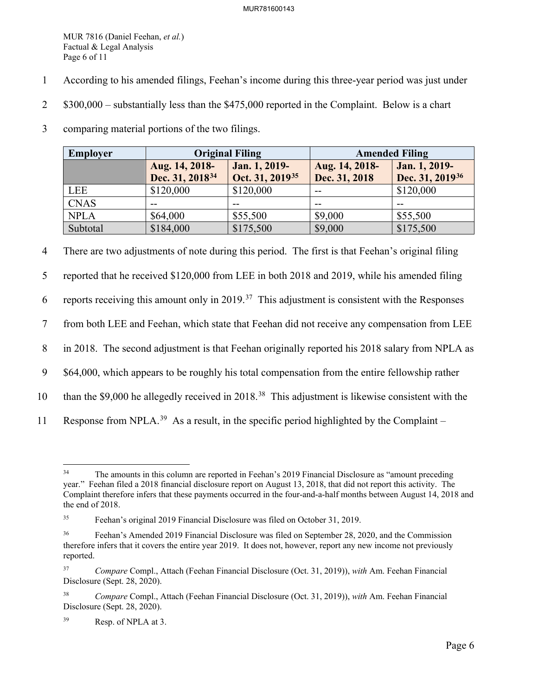MUR 7816 (Daniel Feehan, *et al.*) Factual & Legal Analysis Page 6 of 11

- 1 According to his amended filings, Feehan's income during this three-year period was just under
- 2 \$300,000 substantially less than the \$475,000 reported in the Complaint. Below is a chart
- 3 comparing material portions of the two filings.

| Employer    | <b>Original Filing</b>                        |                                              | <b>Amended Filing</b>           |                                              |
|-------------|-----------------------------------------------|----------------------------------------------|---------------------------------|----------------------------------------------|
|             | Aug. 14, 2018-<br>Dec. 31, 2018 <sup>34</sup> | Jan. 1, 2019-<br>Oct. 31, 2019 <sup>35</sup> | Aug. 14, 2018-<br>Dec. 31, 2018 | Jan. 1, 2019-<br>Dec. 31, 2019 <sup>36</sup> |
| LEE         | \$120,000                                     | \$120,000                                    | $- -$                           | \$120,000                                    |
| <b>CNAS</b> | --                                            |                                              | --                              |                                              |
| <b>NPLA</b> | \$64,000                                      | \$55,500                                     | \$9,000                         | \$55,500                                     |
| Subtotal    | \$184,000                                     | \$175,500                                    | \$9,000                         | \$175,500                                    |

4 There are two adjustments of note during this period. The first is that Feehan's original filing

5 reported that he received \$120,000 from LEE in both 2018 and 2019, while his amended filing

6 reports receiving this amount only in 2019.<sup>37</sup> This adjustment is consistent with the Responses

7 from both LEE and Feehan, which state that Feehan did not receive any compensation from LEE

8 in 2018. The second adjustment is that Feehan originally reported his 2018 salary from NPLA as

9 \$64,000, which appears to be roughly his total compensation from the entire fellowship rather

- 10 than the \$9,000 he allegedly received in 2018.<sup>[38](#page-6-4)</sup> This adjustment is likewise consistent with the
- 11 Response from NPLA.<sup>[39](#page-6-5)</sup> As a result, in the specific period highlighted by the Complaint –

<span id="page-6-0"></span><sup>&</sup>lt;sup>34</sup> The amounts in this column are reported in Feehan's 2019 Financial Disclosure as "amount preceding" year." Feehan filed a 2018 financial disclosure report on August 13, 2018, that did not report this activity. The Complaint therefore infers that these payments occurred in the four-and-a-half months between August 14, 2018 and the end of 2018.

<span id="page-6-1"></span><sup>35</sup> Feehan's original 2019 Financial Disclosure was filed on October 31, 2019.

<span id="page-6-2"></span><sup>&</sup>lt;sup>36</sup> Feehan's Amended 2019 Financial Disclosure was filed on September 28, 2020, and the Commission therefore infers that it covers the entire year 2019. It does not, however, report any new income not previously reported.

<span id="page-6-3"></span><sup>37</sup> *Compare* Compl., Attach (Feehan Financial Disclosure (Oct. 31, 2019)), *with* Am. Feehan Financial Disclosure (Sept. 28, 2020).

<span id="page-6-4"></span><sup>38</sup> *Compare* Compl., Attach (Feehan Financial Disclosure (Oct. 31, 2019)), *with* Am. Feehan Financial Disclosure (Sept. 28, 2020).

<span id="page-6-5"></span><sup>39</sup> Resp. of NPLA at 3.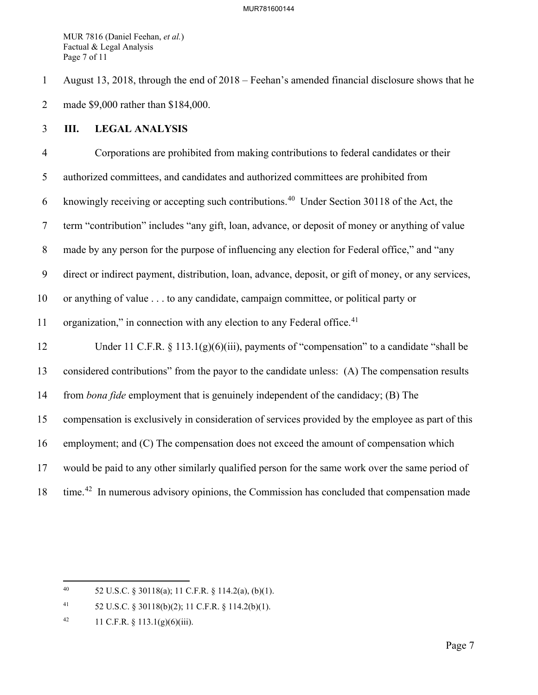MUR 7816 (Daniel Feehan, *et al.*) Factual & Legal Analysis Page 7 of 11

1 August 13, 2018, through the end of 2018 – Feehan's amended financial disclosure shows that he 2 made \$9,000 rather than \$184,000.

## 3 **III. LEGAL ANALYSIS**

4 Corporations are prohibited from making contributions to federal candidates or their 5 authorized committees, and candidates and authorized committees are prohibited from 6 knowingly receiving or accepting such contributions.<sup>[40](#page-7-0)</sup> Under Section 30118 of the Act, the 7 term "contribution" includes "any gift, loan, advance, or deposit of money or anything of value 8 made by any person for the purpose of influencing any election for Federal office," and "any 9 direct or indirect payment, distribution, loan, advance, deposit, or gift of money, or any services, 10 or anything of value . . . to any candidate, campaign committee, or political party or 11 organization," in connection with any election to any Federal office. $41$ 12 Under 11 C.F.R. § 113.1(g)(6)(iii), payments of "compensation" to a candidate "shall be 13 considered contributions" from the payor to the candidate unless: (A) The compensation results 14 from *bona fide* employment that is genuinely independent of the candidacy; (B) The 15 compensation is exclusively in consideration of services provided by the employee as part of this 16 employment; and (C) The compensation does not exceed the amount of compensation which 17 would be paid to any other similarly qualified person for the same work over the same period of 18 time.<sup>[42](#page-7-2)</sup> In numerous advisory opinions, the Commission has concluded that compensation made

<span id="page-7-0"></span><sup>40 52</sup> U.S.C. § 30118(a); 11 C.F.R. § 114.2(a), (b)(1).

<span id="page-7-1"></span><sup>41 52</sup> U.S.C. § 30118(b)(2); 11 C.F.R. § 114.2(b)(1).

<span id="page-7-2"></span><sup>42 11</sup> C.F.R.  $\S$  113.1(g)(6)(iii).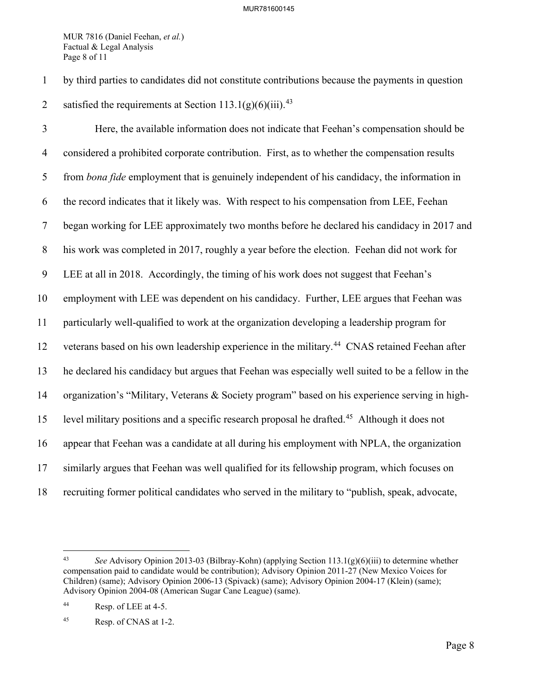MUR 7816 (Daniel Feehan, *et al.*) Factual & Legal Analysis Page 8 of 11

1 by third parties to candidates did not constitute contributions because the payments in question 2 satisfied the requirements at Section  $113.1(g)(6)(iii)$ .<sup>[43](#page-8-0)</sup>

3 Here, the available information does not indicate that Feehan's compensation should be 4 considered a prohibited corporate contribution. First, as to whether the compensation results 5 from *bona fide* employment that is genuinely independent of his candidacy, the information in 6 the record indicates that it likely was. With respect to his compensation from LEE, Feehan 7 began working for LEE approximately two months before he declared his candidacy in 2017 and 8 his work was completed in 2017, roughly a year before the election. Feehan did not work for 9 LEE at all in 2018. Accordingly, the timing of his work does not suggest that Feehan's 10 employment with LEE was dependent on his candidacy. Further, LEE argues that Feehan was 11 particularly well-qualified to work at the organization developing a leadership program for 12 veterans based on his own leadership experience in the military.<sup>[44](#page-8-1)</sup> CNAS retained Feehan after 13 he declared his candidacy but argues that Feehan was especially well suited to be a fellow in the 14 organization's "Military, Veterans & Society program" based on his experience serving in high-15 level military positions and a specific research proposal he drafted.<sup>[45](#page-8-2)</sup> Although it does not 16 appear that Feehan was a candidate at all during his employment with NPLA, the organization 17 similarly argues that Feehan was well qualified for its fellowship program, which focuses on 18 recruiting former political candidates who served in the military to "publish, speak, advocate,

<span id="page-8-0"></span><sup>43</sup> *See* Advisory Opinion 2013-03 (Bilbray-Kohn) (applying Section 113.1(g)(6)(iii) to determine whether compensation paid to candidate would be contribution); Advisory Opinion 2011-27 (New Mexico Voices for Children) (same); Advisory Opinion 2006-13 (Spivack) (same); Advisory Opinion 2004-17 (Klein) (same); Advisory Opinion 2004-08 (American Sugar Cane League) (same).

<span id="page-8-1"></span><sup>44</sup> Resp. of LEE at 4-5.

<span id="page-8-2"></span><sup>45</sup> Resp. of CNAS at 1-2.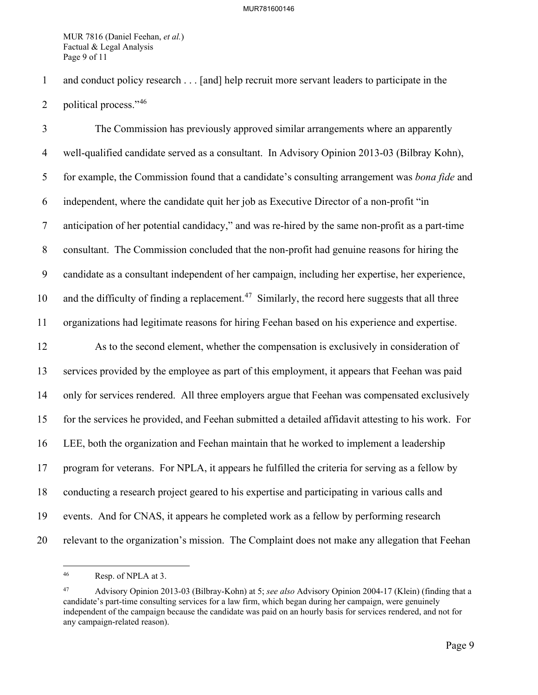MUR 7816 (Daniel Feehan, *et al.*) Factual & Legal Analysis Page 9 of 11

1 and conduct policy research . . . [and] help recruit more servant leaders to participate in the

2 political process." $46$ 

3 The Commission has previously approved similar arrangements where an apparently 4 well-qualified candidate served as a consultant. In Advisory Opinion 2013-03 (Bilbray Kohn), 5 for example, the Commission found that a candidate's consulting arrangement was *bona fide* and 6 independent, where the candidate quit her job as Executive Director of a non-profit "in 7 anticipation of her potential candidacy," and was re-hired by the same non-profit as a part-time 8 consultant. The Commission concluded that the non-profit had genuine reasons for hiring the 9 candidate as a consultant independent of her campaign, including her expertise, her experience, 10 and the difficulty of finding a replacement.<sup>[47](#page-9-1)</sup> Similarly, the record here suggests that all three 11 organizations had legitimate reasons for hiring Feehan based on his experience and expertise. 12 As to the second element, whether the compensation is exclusively in consideration of 13 services provided by the employee as part of this employment, it appears that Feehan was paid 14 only for services rendered. All three employers argue that Feehan was compensated exclusively 15 for the services he provided, and Feehan submitted a detailed affidavit attesting to his work. For 16 LEE, both the organization and Feehan maintain that he worked to implement a leadership 17 program for veterans. For NPLA, it appears he fulfilled the criteria for serving as a fellow by 18 conducting a research project geared to his expertise and participating in various calls and 19 events. And for CNAS, it appears he completed work as a fellow by performing research 20 relevant to the organization's mission. The Complaint does not make any allegation that Feehan

<span id="page-9-0"></span><sup>46</sup> Resp. of NPLA at 3.

<span id="page-9-1"></span><sup>47</sup> Advisory Opinion 2013-03 (Bilbray-Kohn) at 5; *see also* Advisory Opinion 2004-17 (Klein) (finding that a candidate's part-time consulting services for a law firm, which began during her campaign, were genuinely independent of the campaign because the candidate was paid on an hourly basis for services rendered, and not for any campaign-related reason).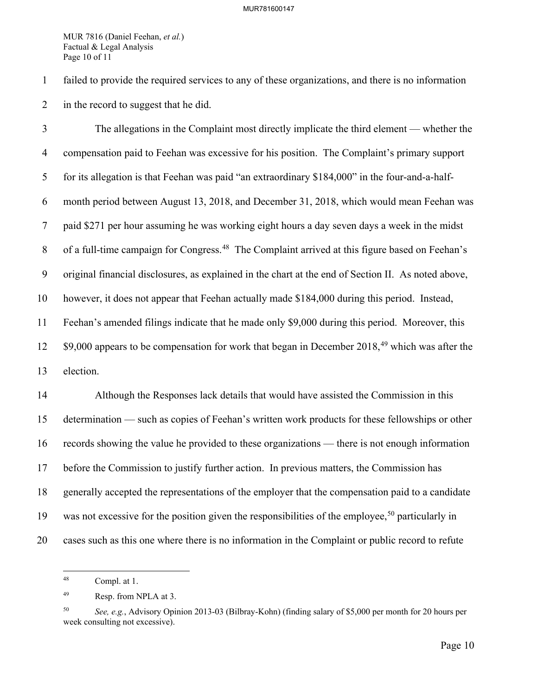MUR 7816 (Daniel Feehan, *et al.*) Factual & Legal Analysis Page 10 of 11

1 failed to provide the required services to any of these organizations, and there is no information 2 in the record to suggest that he did.

3 The allegations in the Complaint most directly implicate the third element — whether the 4 compensation paid to Feehan was excessive for his position. The Complaint's primary support 5 for its allegation is that Feehan was paid "an extraordinary \$184,000" in the four-and-a-half-6 month period between August 13, 2018, and December 31, 2018, which would mean Feehan was 7 paid \$271 per hour assuming he was working eight hours a day seven days a week in the midst 8 of a full-time campaign for Congress.<sup>[48](#page-10-0)</sup> The Complaint arrived at this figure based on Feehan's 9 original financial disclosures, as explained in the chart at the end of Section II. As noted above, 10 however, it does not appear that Feehan actually made \$184,000 during this period. Instead, 11 Feehan's amended filings indicate that he made only \$9,000 during this period. Moreover, this  $12$  \$9,000 appears to be compensation for work that began in December 2018,<sup>[49](#page-10-1)</sup> which was after the 13 election.

14 Although the Responses lack details that would have assisted the Commission in this 15 determination — such as copies of Feehan's written work products for these fellowships or other 16 records showing the value he provided to these organizations — there is not enough information 17 before the Commission to justify further action. In previous matters, the Commission has 18 generally accepted the representations of the employer that the compensation paid to a candidate 19 was not excessive for the position given the responsibilities of the employee,<sup>[50](#page-10-2)</sup> particularly in 20 cases such as this one where there is no information in the Complaint or public record to refute

<span id="page-10-0"></span><sup>48</sup> Compl. at 1.

<span id="page-10-1"></span><sup>49</sup> Resp. from NPLA at 3.

<span id="page-10-2"></span><sup>50</sup> *See, e.g.*, Advisory Opinion 2013-03 (Bilbray-Kohn) (finding salary of \$5,000 per month for 20 hours per week consulting not excessive).